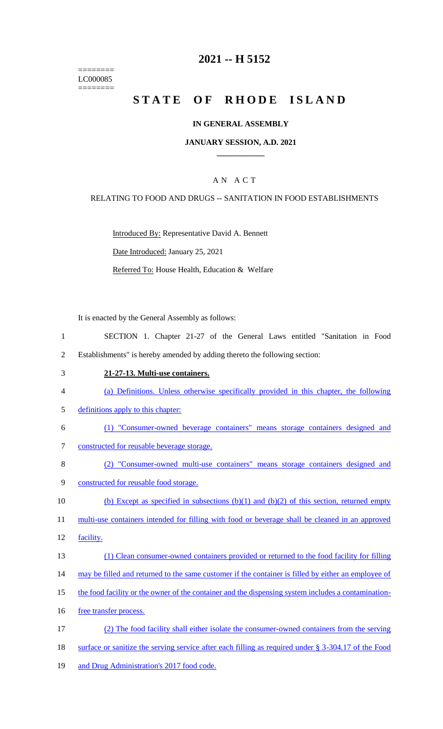======== LC000085 ========

## **2021 -- H 5152**

# **STATE OF RHODE ISLAND**

#### **IN GENERAL ASSEMBLY**

#### **JANUARY SESSION, A.D. 2021 \_\_\_\_\_\_\_\_\_\_\_\_**

### A N A C T

#### RELATING TO FOOD AND DRUGS -- SANITATION IN FOOD ESTABLISHMENTS

Introduced By: Representative David A. Bennett Date Introduced: January 25, 2021 Referred To: House Health, Education & Welfare

It is enacted by the General Assembly as follows:

- 1 SECTION 1. Chapter 21-27 of the General Laws entitled "Sanitation in Food 2 Establishments" is hereby amended by adding thereto the following section:
- 3 **21-27-13. Multi-use containers.**
- 4 (a) Definitions. Unless otherwise specifically provided in this chapter, the following
- 5 definitions apply to this chapter:
- 6 (1) "Consumer-owned beverage containers" means storage containers designed and 7 constructed for reusable beverage storage.
- 
- 8 (2) "Consumer-owned multi-use containers" means storage containers designed and
- 9 constructed for reusable food storage.
- 10 (b) Except as specified in subsections  $(b)(1)$  and  $(b)(2)$  of this section, returned empty

11 multi-use containers intended for filling with food or beverage shall be cleaned in an approved

- 12 facility.
- 13 (1) Clean consumer-owned containers provided or returned to the food facility for filling
- 14 may be filled and returned to the same customer if the container is filled by either an employee of
- 15 the food facility or the owner of the container and the dispensing system includes a contamination-
- 16 free transfer process.
- 17 (2) The food facility shall either isolate the consumer-owned containers from the serving 18 surface or sanitize the serving service after each filling as required under § 3-304.17 of the Food
- 19 and Drug Administration's 2017 food code.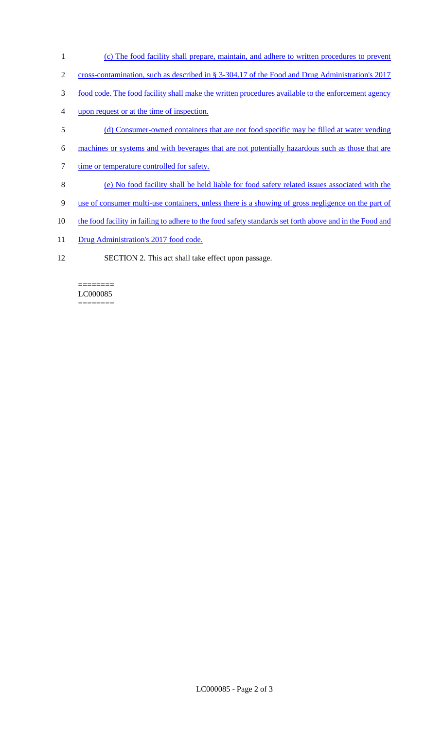- 1 (c) The food facility shall prepare, maintain, and adhere to written procedures to prevent
- 2 cross-contamination, such as described in § 3-304.17 of the Food and Drug Administration's 2017
- 3 food code. The food facility shall make the written procedures available to the enforcement agency
- 4 upon request or at the time of inspection.
- 5 (d) Consumer-owned containers that are not food specific may be filled at water vending
- 6 machines or systems and with beverages that are not potentially hazardous such as those that are
- 7 time or temperature controlled for safety.
- 8 (e) No food facility shall be held liable for food safety related issues associated with the
- 9 use of consumer multi-use containers, unless there is a showing of gross negligence on the part of
- 10 the food facility in failing to adhere to the food safety standards set forth above and in the Food and
- 11 Drug Administration's 2017 food code.
- 12 SECTION 2. This act shall take effect upon passage.

======== LC000085 ========